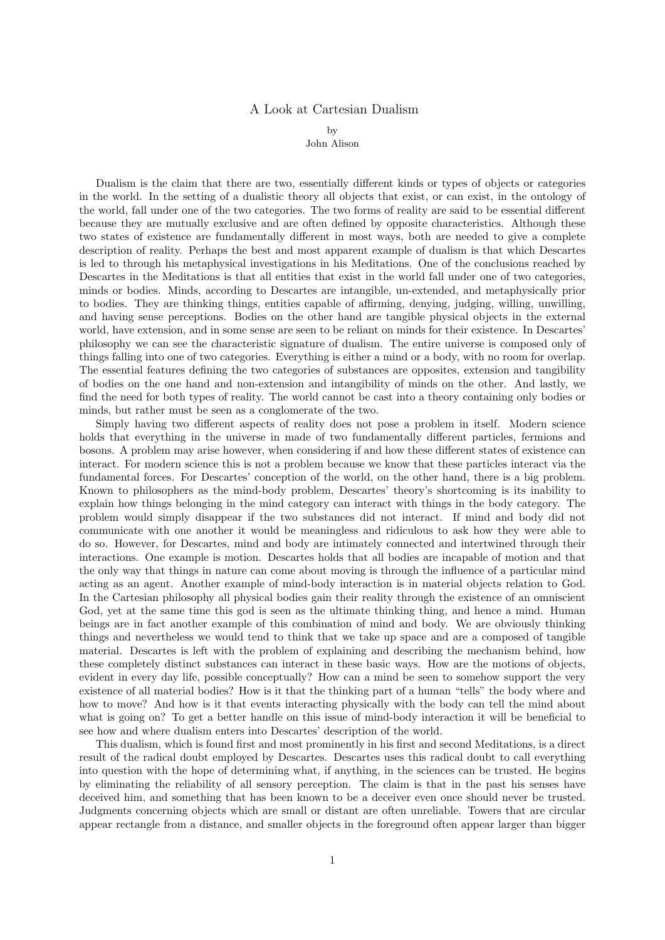## A Look at Cartesian Dualism

by

John Alison

Dualism is the claim that there are two, essentially different kinds or types of objects or categories in the world. In the setting of a dualistic theory all objects that exist, or can exist, in the ontology of the world, fall under one of the two categories. The two forms of reality are said to be essential different because they are mutually exclusive and are often defined by opposite characteristics. Although these two states of existence are fundamentally different in most ways, both are needed to give a complete description of reality. Perhaps the best and most apparent example of dualism is that which Descartes is led to through his metaphysical investigations in his Meditations. One of the conclusions reached by Descartes in the Meditations is that all entities that exist in the world fall under one of two categories, minds or bodies. Minds, according to Descartes are intangible, un-extended, and metaphysically prior to bodies. They are thinking things, entities capable of affirming, denying, judging, willing, unwilling, and having sense perceptions. Bodies on the other hand are tangible physical objects in the external world, have extension, and in some sense are seen to be reliant on minds for their existence. In Descartes' philosophy we can see the characteristic signature of dualism. The entire universe is composed only of things falling into one of two categories. Everything is either a mind or a body, with no room for overlap. The essential features defining the two categories of substances are opposites, extension and tangibility of bodies on the one hand and non-extension and intangibility of minds on the other. And lastly, we find the need for both types of reality. The world cannot be cast into a theory containing only bodies or minds, but rather must be seen as a conglomerate of the two.

Simply having two different aspects of reality does not pose a problem in itself. Modern science holds that everything in the universe in made of two fundamentally different particles, fermions and bosons. A problem may arise however, when considering if and how these different states of existence can interact. For modern science this is not a problem because we know that these particles interact via the fundamental forces. For Descartes' conception of the world, on the other hand, there is a big problem. Known to philosophers as the mind-body problem, Descartes' theory's shortcoming is its inability to explain how things belonging in the mind category can interact with things in the body category. The problem would simply disappear if the two substances did not interact. If mind and body did not communicate with one another it would be meaningless and ridiculous to ask how they were able to do so. However, for Descartes, mind and body are intimately connected and intertwined through their interactions. One example is motion. Descartes holds that all bodies are incapable of motion and that the only way that things in nature can come about moving is through the influence of a particular mind acting as an agent. Another example of mind-body interaction is in material objects relation to God. In the Cartesian philosophy all physical bodies gain their reality through the existence of an omniscient God, yet at the same time this god is seen as the ultimate thinking thing, and hence a mind. Human beings are in fact another example of this combination of mind and body. We are obviously thinking things and nevertheless we would tend to think that we take up space and are a composed of tangible material. Descartes is left with the problem of explaining and describing the mechanism behind, how these completely distinct substances can interact in these basic ways. How are the motions of objects, evident in every day life, possible conceptually? How can a mind be seen to somehow support the very existence of all material bodies? How is it that the thinking part of a human "tells" the body where and how to move? And how is it that events interacting physically with the body can tell the mind about what is going on? To get a better handle on this issue of mind-body interaction it will be beneficial to see how and where dualism enters into Descartes' description of the world.

This dualism, which is found first and most prominently in his first and second Meditations, is a direct result of the radical doubt employed by Descartes. Descartes uses this radical doubt to call everything into question with the hope of determining what, if anything, in the sciences can be trusted. He begins by eliminating the reliability of all sensory perception. The claim is that in the past his senses have deceived him, and something that has been known to be a deceiver even once should never be trusted. Judgments concerning objects which are small or distant are often unreliable. Towers that are circular appear rectangle from a distance, and smaller objects in the foreground often appear larger than bigger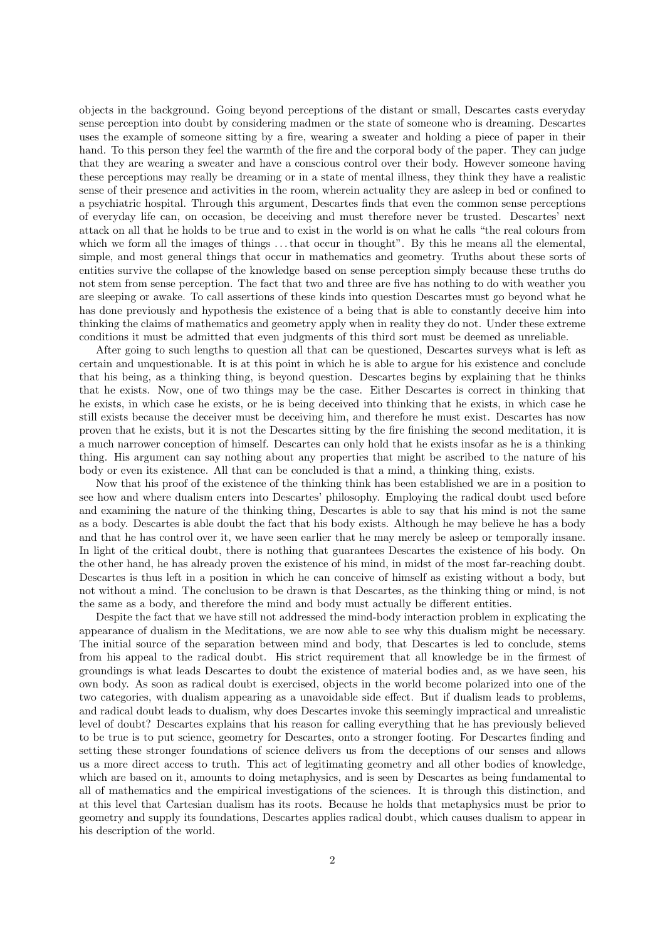objects in the background. Going beyond perceptions of the distant or small, Descartes casts everyday sense perception into doubt by considering madmen or the state of someone who is dreaming. Descartes uses the example of someone sitting by a fire, wearing a sweater and holding a piece of paper in their hand. To this person they feel the warmth of the fire and the corporal body of the paper. They can judge that they are wearing a sweater and have a conscious control over their body. However someone having these perceptions may really be dreaming or in a state of mental illness, they think they have a realistic sense of their presence and activities in the room, wherein actuality they are asleep in bed or confined to a psychiatric hospital. Through this argument, Descartes finds that even the common sense perceptions of everyday life can, on occasion, be deceiving and must therefore never be trusted. Descartes' next attack on all that he holds to be true and to exist in the world is on what he calls "the real colours from which we form all the images of things ...that occur in thought". By this he means all the elemental, simple, and most general things that occur in mathematics and geometry. Truths about these sorts of entities survive the collapse of the knowledge based on sense perception simply because these truths do not stem from sense perception. The fact that two and three are five has nothing to do with weather you are sleeping or awake. To call assertions of these kinds into question Descartes must go beyond what he has done previously and hypothesis the existence of a being that is able to constantly deceive him into thinking the claims of mathematics and geometry apply when in reality they do not. Under these extreme conditions it must be admitted that even judgments of this third sort must be deemed as unreliable.

After going to such lengths to question all that can be questioned, Descartes surveys what is left as certain and unquestionable. It is at this point in which he is able to argue for his existence and conclude that his being, as a thinking thing, is beyond question. Descartes begins by explaining that he thinks that he exists. Now, one of two things may be the case. Either Descartes is correct in thinking that he exists, in which case he exists, or he is being deceived into thinking that he exists, in which case he still exists because the deceiver must be deceiving him, and therefore he must exist. Descartes has now proven that he exists, but it is not the Descartes sitting by the fire finishing the second meditation, it is a much narrower conception of himself. Descartes can only hold that he exists insofar as he is a thinking thing. His argument can say nothing about any properties that might be ascribed to the nature of his body or even its existence. All that can be concluded is that a mind, a thinking thing, exists.

Now that his proof of the existence of the thinking think has been established we are in a position to see how and where dualism enters into Descartes' philosophy. Employing the radical doubt used before and examining the nature of the thinking thing, Descartes is able to say that his mind is not the same as a body. Descartes is able doubt the fact that his body exists. Although he may believe he has a body and that he has control over it, we have seen earlier that he may merely be asleep or temporally insane. In light of the critical doubt, there is nothing that guarantees Descartes the existence of his body. On the other hand, he has already proven the existence of his mind, in midst of the most far-reaching doubt. Descartes is thus left in a position in which he can conceive of himself as existing without a body, but not without a mind. The conclusion to be drawn is that Descartes, as the thinking thing or mind, is not the same as a body, and therefore the mind and body must actually be different entities.

Despite the fact that we have still not addressed the mind-body interaction problem in explicating the appearance of dualism in the Meditations, we are now able to see why this dualism might be necessary. The initial source of the separation between mind and body, that Descartes is led to conclude, stems from his appeal to the radical doubt. His strict requirement that all knowledge be in the firmest of groundings is what leads Descartes to doubt the existence of material bodies and, as we have seen, his own body. As soon as radical doubt is exercised, objects in the world become polarized into one of the two categories, with dualism appearing as a unavoidable side effect. But if dualism leads to problems, and radical doubt leads to dualism, why does Descartes invoke this seemingly impractical and unrealistic level of doubt? Descartes explains that his reason for calling everything that he has previously believed to be true is to put science, geometry for Descartes, onto a stronger footing. For Descartes finding and setting these stronger foundations of science delivers us from the deceptions of our senses and allows us a more direct access to truth. This act of legitimating geometry and all other bodies of knowledge, which are based on it, amounts to doing metaphysics, and is seen by Descartes as being fundamental to all of mathematics and the empirical investigations of the sciences. It is through this distinction, and at this level that Cartesian dualism has its roots. Because he holds that metaphysics must be prior to geometry and supply its foundations, Descartes applies radical doubt, which causes dualism to appear in his description of the world.